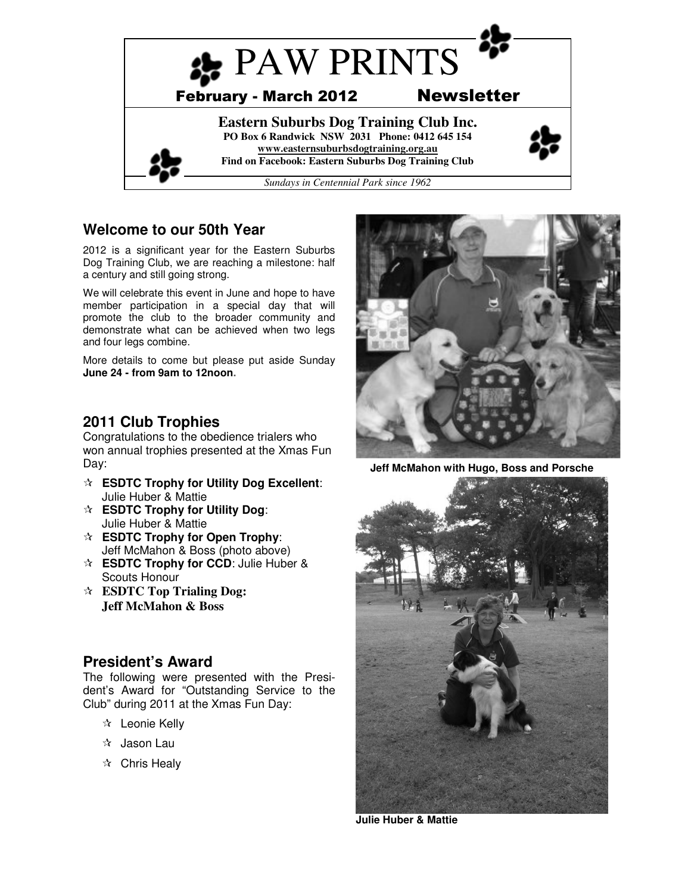

# **Welcome to our 50th Year**

2012 is a significant year for the Eastern Suburbs Dog Training Club, we are reaching a milestone: half a century and still going strong.

We will celebrate this event in June and hope to have member participation in a special day that will promote the club to the broader community and demonstrate what can be achieved when two legs and four legs combine.

More details to come but please put aside Sunday **June 24 - from 9am to 12noon.**

# **2011 Club Trophies**

Congratulations to the obedience trialers who won annual trophies presented at the Xmas Fun Day:

- **ESDTC Trophy for Utility Dog Excellent**: Julie Huber & Mattie
- **ESDTC Trophy for Utility Dog**: Julie Huber & Mattie
- **ESDTC Trophy for Open Trophy**: Jeff McMahon & Boss (photo above)
- **ESDTC Trophy for CCD:** Julie Huber & Scouts Honour
- **ESDTC Top Trialing Dog: Jeff McMahon & Boss**

# **President's Award**

The following were presented with the President's Award for "Outstanding Service to the Club" during 2011 at the Xmas Fun Day:

- Leonie Kelly
- $\mathbf{\hat{x}}$  Jason Lau
- $\mathbf{\hat{x}}$  Chris Healy



**Jeff McMahon with Hugo, Boss and Porsche** 



**Julie Huber & Mattie**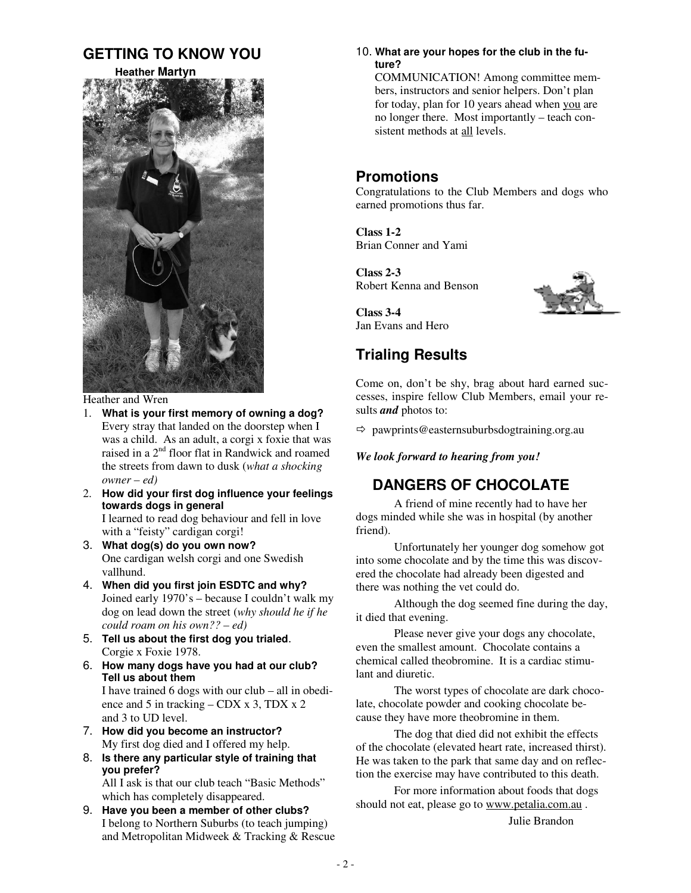# **GETTING TO KNOW YOU**

 **Heather Martyn**



Heather and Wren

1. **What is your first memory of owning a dog?** Every stray that landed on the doorstep when I was a child. As an adult, a corgi x foxie that was raised in a 2<sup>nd</sup> floor flat in Randwick and roamed the streets from dawn to dusk (*what a shocking owner – ed)*

 $\overline{a}$ 

2. **How did your first dog influence your feelings towards dogs in general**

I learned to read dog behaviour and fell in love with a "feisty" cardigan corgi!

- 3. **What dog(s) do you own now?** One cardigan welsh corgi and one Swedish vallhund.
- 4. **When did you first join ESDTC and why?** Joined early 1970's – because I couldn't walk my dog on lead down the street (*why should he if he could roam on his own?? – ed)*
- 5. **Tell us about the first dog you trialed**. Corgie x Foxie 1978.
- 6. **How many dogs have you had at our club? Tell us about them**  I have trained 6 dogs with our club – all in obedience and 5 in tracking – CDX x 3, TDX x 2 and 3 to UD level.
- 7. **How did you become an instructor?** My first dog died and I offered my help.
- 8. **Is there any particular style of training that you prefer?**

All I ask is that our club teach "Basic Methods" which has completely disappeared.

9. **Have you been a member of other clubs?** I belong to Northern Suburbs (to teach jumping) and Metropolitan Midweek & Tracking & Rescue 10. **What are your hopes for the club in the future?** 

COMMUNICATION! Among committee members, instructors and senior helpers. Don't plan for today, plan for 10 years ahead when you are no longer there. Most importantly – teach consistent methods at all levels.

# **Promotions**

Congratulations to the Club Members and dogs who earned promotions thus far.

**Class 1-2**  Brian Conner and Yami

**Class 2-3**  Robert Kenna and Benson



**Class 3-4**  Jan Evans and Hero

# **Trialing Results**

Come on, don't be shy, brag about hard earned successes, inspire fellow Club Members, email your results *and* photos to:

- pawprints@easternsuburbsdogtraining.org.au

*We look forward to hearing from you!* 

# **DANGERS OF CHOCOLATE**

A friend of mine recently had to have her dogs minded while she was in hospital (by another friend).

Unfortunately her younger dog somehow got into some chocolate and by the time this was discovered the chocolate had already been digested and there was nothing the vet could do.

Although the dog seemed fine during the day, it died that evening.

 Please never give your dogs any chocolate, even the smallest amount. Chocolate contains a chemical called theobromine. It is a cardiac stimulant and diuretic.

 The worst types of chocolate are dark chocolate, chocolate powder and cooking chocolate because they have more theobromine in them.

 The dog that died did not exhibit the effects of the chocolate (elevated heart rate, increased thirst). He was taken to the park that same day and on reflection the exercise may have contributed to this death.

 For more information about foods that dogs should not eat, please go to www.petalia.com.au .

Julie Brandon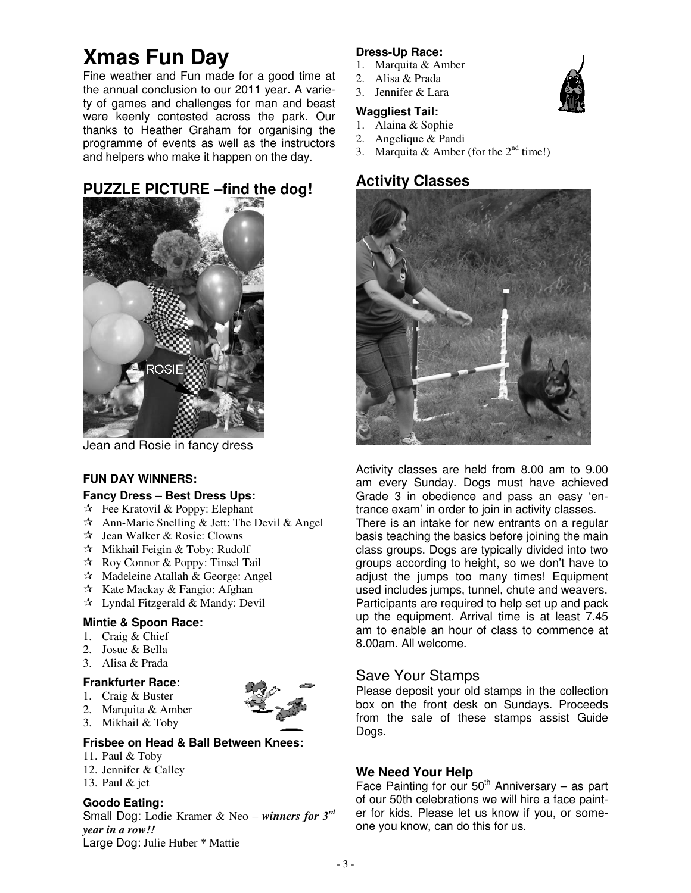# **Xmas Fun Day**

Fine weather and Fun made for a good time at the annual conclusion to our 2011 year. A variety of games and challenges for man and beast were keenly contested across the park. Our thanks to Heather Graham for organising the programme of events as well as the instructors and helpers who make it happen on the day.



**PUZZLE PICTURE –find the dog!**

#### Jean and Rosie in fancy dress

#### **FUN DAY WINNERS:**

#### **Fancy Dress – Best Dress Ups:**

- $\mathcal{F}$  Fee Kratovil & Poppy: Elephant
- $\hat{x}$  Ann-Marie Snelling & Jett: The Devil & Angel
- $\forall$  Jean Walker & Rosie: Clowns
- Mikhail Feigin & Toby: Rudolf
- $\forall$  Roy Connor & Poppy: Tinsel Tail
- $\lambda$  Madeleine Atallah & George: Angel
- $\star$  Kate Mackay & Fangio: Afghan
- $\star$  Lyndal Fitzgerald & Mandy: Devil

#### **Mintie & Spoon Race:**

- 1. Craig & Chief
- 2. Josue & Bella
- 3. Alisa & Prada

#### **Frankfurter Race:**

- 1. Craig & Buster
- 2. Marquita & Amber



#### **Frisbee on Head & Ball Between Knees:**

- 11. Paul & Toby
- 12. Jennifer & Calley
- 13. Paul & jet

#### **Goodo Eating:**

Small Dog: Lodie Kramer & Neo – *winners for 3rd year in a row!!* Large Dog: Julie Huber \* Mattie

#### **Dress-Up Race:**

- 1. Marquita & Amber
- 2. Alisa & Prada
- 3. Jennifer & Lara

## **Waggliest Tail:**

- 1. Alaina & Sophie
- 2. Angelique & Pandi
- 3. Marquita & Amber (for the  $2<sup>nd</sup>$  time!)

# **Activity Classes**



Activity classes are held from 8.00 am to 9.00 am every Sunday. Dogs must have achieved Grade 3 in obedience and pass an easy 'entrance exam' in order to join in activity classes. There is an intake for new entrants on a regular basis teaching the basics before joining the main class groups. Dogs are typically divided into two groups according to height, so we don't have to adjust the jumps too many times! Equipment used includes jumps, tunnel, chute and weavers. Participants are required to help set up and pack up the equipment. Arrival time is at least 7.45 am to enable an hour of class to commence at 8.00am. All welcome.

## Save Your Stamps

Please deposit your old stamps in the collection box on the front desk on Sundays. Proceeds from the sale of these stamps assist Guide Dogs.

#### **We Need Your Help**

Face Painting for our  $50<sup>th</sup>$  Anniversary – as part of our 50th celebrations we will hire a face painter for kids. Please let us know if you, or someone you know, can do this for us.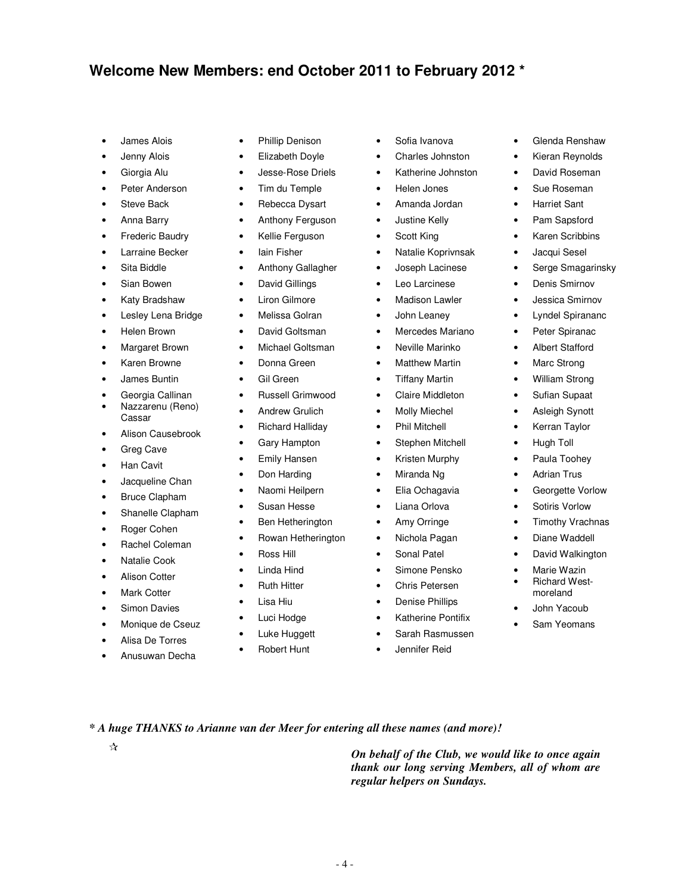# **Welcome New Members: end October 2011 to February 2012 \***

- James Alois
- Jenny Alois
- Giorgia Alu
- Peter Anderson
- Steve Back
- Anna Barry
- **Frederic Baudry**
- Larraine Becker
- Sita Biddle
- Sian Bowen
- Katy Bradshaw
- Lesley Lena Bridge
- Helen Brown
- Margaret Brown
- Karen Browne
- James Buntin
- Georgia Callinan
- Nazzarenu (Reno) Cassar
- Alison Causebrook
- Greg Cave
- **Han Cavit**
- Jacqueline Chan
- Bruce Clapham
- Shanelle Clapham
- Roger Cohen
- Rachel Coleman
- Natalie Cook
- Alison Cotter
- **Mark Cotter**
- Simon Davies
- Monique de Cseuz
- Alisa De Torres
- Anusuwan Decha
- Phillip Denison
- Elizabeth Doyle
- Jesse-Rose Driels
- Tim du Temple
- Rebecca Dysart
- Anthony Ferguson
- Kellie Ferguson
- Iain Fisher
- Anthony Gallagher
- David Gillings
- Liron Gilmore
- Melissa Golran
- David Goltsman
- Michael Goltsman
- Donna Green
- Gil Green
- Russell Grimwood
- Andrew Grulich
- Richard Halliday
- Gary Hampton
- Emily Hansen
- Don Harding
- Naomi Heilpern
- Susan Hesse
- Ben Hetherington
- Rowan Hetherington
- Ross Hill
- Linda Hind
- Ruth Hitter
- Lisa Hiu
- Luci Hodge
- Luke Huggett
- **Robert Hunt**

*\* A huge THANKS to Arianne van der Meer for entering all these names (and more)!* 

- 4 -

*On behalf of the Club, we would like to once again* 

- Sofia Ivanova
- Charles Johnston
- Katherine Johnston

• Glenda Renshaw • Kieran Reynolds • David Roseman • Sue Roseman • Harriet Sant • Pam Sapsford • Karen Scribbins • Jacqui Sesel • Serge Smagarinsky • Denis Smirnov • Jessica Smirnov • Lyndel Spirananc • Peter Spiranac • Albert Stafford • Marc Strong • William Strong • Sufian Supaat • Asleigh Synott • Kerran Taylor • Hugh Toll • Paula Toohey • Adrian Trus • Georgette Vorlow • Sotiris Vorlow • Timothy Vrachnas • Diane Waddell

David Walkington

• Marie Wazin • Richard Westmoreland • John Yacoub Sam Yeomans

- Helen Jones
- Amanda Jordan
- Justine Kelly
- Scott King
- Natalie Koprivnsak
- Joseph Lacinese
- Leo Larcinese
- **Madison Lawler**
- John Leaney
- Mercedes Mariano
- Neville Marinko
- **Matthew Martin**
- Tiffany Martin
- Claire Middleton
- **Molly Miechel**
- Phil Mitchell
- Stephen Mitchell
- Kristen Murphy
- Miranda Ng
- Elia Ochagavia
- Liana Orlova
- Amy Orringe
- Nichola Pagan
- Sonal Patel
- Simone Pensko
- Chris Petersen
- Denise Phillips
- Katherine Pontifix
- Sarah Rasmussen

*thank our long serving Members, all of whom are* 

• Jennifer Reid

*regular helpers on Sundays.*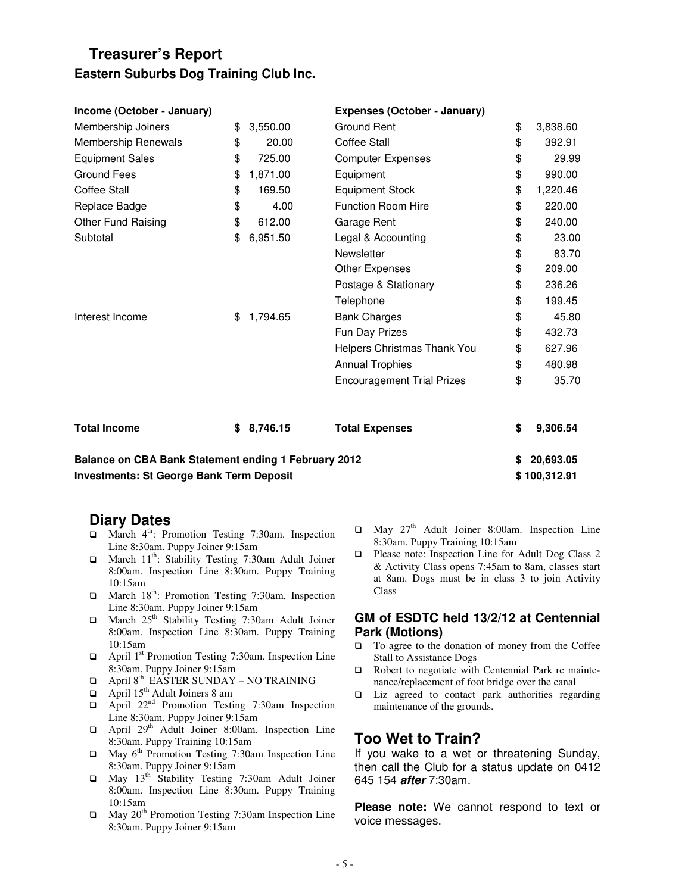# **Treasurer's Report Eastern Suburbs Dog Training Club Inc.**

| Income (October - January)                           |    |          | Expenses (October - January)      |                 |
|------------------------------------------------------|----|----------|-----------------------------------|-----------------|
| Membership Joiners                                   | \$ | 3,550.00 | Ground Rent                       | \$<br>3,838.60  |
| Membership Renewals                                  | \$ | 20.00    | <b>Coffee Stall</b>               | \$<br>392.91    |
| <b>Equipment Sales</b>                               | \$ | 725.00   | <b>Computer Expenses</b>          | \$<br>29.99     |
| <b>Ground Fees</b>                                   | \$ | 1,871.00 | Equipment                         | \$<br>990.00    |
| Coffee Stall                                         | \$ | 169.50   | <b>Equipment Stock</b>            | \$<br>1,220.46  |
| Replace Badge                                        | \$ | 4.00     | <b>Function Room Hire</b>         | \$<br>220.00    |
| Other Fund Raising                                   | \$ | 612.00   | Garage Rent                       | \$<br>240.00    |
| Subtotal                                             | \$ | 6,951.50 | Legal & Accounting                | \$<br>23.00     |
|                                                      |    |          | Newsletter                        | \$<br>83.70     |
|                                                      |    |          | Other Expenses                    | \$<br>209.00    |
|                                                      |    |          | Postage & Stationary              | \$<br>236.26    |
|                                                      |    |          | Telephone                         | \$<br>199.45    |
| Interest Income                                      | \$ | 1,794.65 | <b>Bank Charges</b>               | \$<br>45.80     |
|                                                      |    |          | Fun Day Prizes                    | \$<br>432.73    |
|                                                      |    |          | Helpers Christmas Thank You       | \$<br>627.96    |
|                                                      |    |          | <b>Annual Trophies</b>            | \$<br>480.98    |
|                                                      |    |          | <b>Encouragement Trial Prizes</b> | \$<br>35.70     |
| <b>Total Income</b>                                  | \$ | 8,746.15 | <b>Total Expenses</b>             | \$<br>9,306.54  |
| Balance on CBA Bank Statement ending 1 February 2012 |    |          |                                   | \$<br>20,693.05 |
| <b>Investments: St George Bank Term Deposit</b>      |    |          |                                   | \$100,312.91    |

#### **Diary Dates**

- $\Box$  March 4<sup>th</sup>: Promotion Testing 7:30am. Inspection Line 8:30am. Puppy Joiner 9:15am
- $\Box$  March 11<sup>th</sup>: Stability Testing 7:30am Adult Joiner 8:00am. Inspection Line 8:30am. Puppy Training 10:15am
- $\Box$  March 18<sup>th</sup>: Promotion Testing 7:30am. Inspection Line 8:30am. Puppy Joiner 9:15am
- $\Box$  March 25<sup>th</sup> Stability Testing 7:30am Adult Joiner 8:00am. Inspection Line 8:30am. Puppy Training 10:15am
- $\Box$  April 1<sup>st</sup> Promotion Testing 7:30am. Inspection Line 8:30am. Puppy Joiner 9:15am
- $\Box$  April 8<sup>th</sup> EASTER SUNDAY NO TRAINING
- $\Box$  April 15<sup>th</sup> Adult Joiners 8 am
- $\Box$  April 22<sup>nd</sup> Promotion Testing 7:30am Inspection Line 8:30am. Puppy Joiner 9:15am
- $\Box$  April 29<sup>th</sup> Adult Joiner 8:00am. Inspection Line 8:30am. Puppy Training 10:15am
- $\Box$  May 6<sup>th</sup> Promotion Testing 7:30am Inspection Line 8:30am. Puppy Joiner 9:15am
- May 13th Stability Testing 7:30am Adult Joiner 8:00am. Inspection Line 8:30am. Puppy Training 10:15am
- $\Box$  May 20<sup>th</sup> Promotion Testing 7:30am Inspection Line 8:30am. Puppy Joiner 9:15am
- $\Box$  May 27<sup>th</sup> Adult Joiner 8:00am. Inspection Line 8:30am. Puppy Training 10:15am
- □ Please note: Inspection Line for Adult Dog Class 2 & Activity Class opens 7:45am to 8am, classes start at 8am. Dogs must be in class 3 to join Activity Class

#### **GM of ESDTC held 13/2/12 at Centennial Park (Motions)**

- □ To agree to the donation of money from the Coffee Stall to Assistance Dogs
- □ Robert to negotiate with Centennial Park re maintenance/replacement of foot bridge over the canal
- $\Box$  Liz agreed to contact park authorities regarding maintenance of the grounds.

# **Too Wet to Train?**

If you wake to a wet or threatening Sunday, then call the Club for a status update on 0412 645 154 **after** 7:30am.

**Please note:** We cannot respond to text or voice messages.